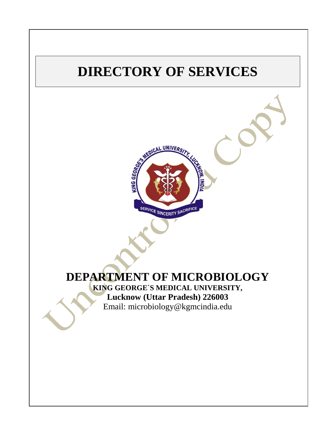# **DIRECTORY OF SERVICES**



# **DEPARTMENT OF MICROBIOLOGY KING GEORGE`S MEDICAL UNIVERSITY,**

**Lucknow (Uttar Pradesh) 226003** Email: [microbiology@kgmcindia.edu](mailto:microbiology@kgmcindia.edu)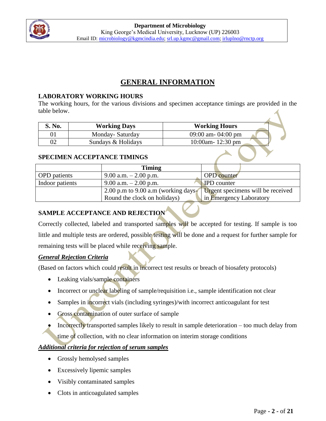

# **GENERAL INFORMATION**

#### **LABORATORY WORKING HOURS**

The working hours, for the various divisions and specimen acceptance timings are provided in the table below.

| S. No. | <b>Working Days</b> | <b>Working Hours</b>        |
|--------|---------------------|-----------------------------|
|        | Monday-Saturday     | 09:00 am- $04:00$ pm        |
| 02     | Sundays & Holidays  | 10:00am- $12:30 \text{ pm}$ |

#### **SPECIMEN ACCEPTANCE TIMINGS**

|                     | <b>Timing</b>                       |                                   |
|---------------------|-------------------------------------|-----------------------------------|
| <b>OPD</b> patients | 9.00 a.m. $-2.00$ p.m.              | <b>OPD</b> counter                |
| Indoor patients     | 9.00 a.m. $-2.00$ p.m.              | <b>IPD</b> counter                |
|                     | 2.00 p.m to 9.00 a.m (working days- | Urgent specimens will be received |
|                     | Round the clock on holidays)        | in Emergency Laboratory           |

# **SAMPLE ACCEPTANCE AND REJECTION**

Correctly collected, labeled and transported samples will be accepted for testing. If sample is too little and multiple tests are ordered, possible testing will be done and a request for further sample for remaining tests will be placed while receiving sample.

# *General Rejection Criteria*

(Based on factors which could result in incorrect test results or breach of biosafety protocols)

- Leaking vials/sample containers
- Incorrect or unclear labeling of sample/requisition i.e., sample identification not clear
- Samples in incorrect vials (including syringes)/with incorrect anticoagulant for test
- Gross contamination of outer surface of sample
- Incorrectly transported samples likely to result in sample deterioration too much delay from time of collection, with no clear information on interim storage conditions

# *Additional criteria for rejection of serum samples*

- Grossly hemolysed samples
- Excessively lipemic samples
- Visibly contaminated samples
- Clots in anticoagulated samples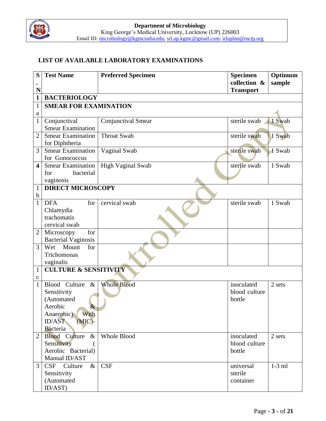

# **LIST OF AVAILABLE LABORATORY EXAMINATIONS**

| S              | <b>Test Name</b>                 | <b>Preferred Specimen</b> | <b>Specimen</b><br>collection & | Optimum  |
|----------------|----------------------------------|---------------------------|---------------------------------|----------|
| $\bullet$<br>N |                                  |                           | <b>Transport</b>                | sample   |
| $\mathbf{1}$   | <b>BACTERIOLOGY</b>              |                           |                                 |          |
| 1              | <b>SMEAR FOR EXAMINATION</b>     |                           |                                 |          |
| a              |                                  |                           |                                 |          |
| $\mathbf{1}$   | Conjunctival                     | Conjunctival Smear        | sterile swab                    | 1 Swab   |
|                | <b>Smear Examination</b>         |                           |                                 |          |
| $\overline{2}$ | <b>Smear Examination</b>         | <b>Throat Swab</b>        | sterile swab                    | 1 Swab   |
|                | for Diphtheria                   |                           |                                 |          |
| 3              | <b>Smear Examination</b>         | Vaginal Swab              | sterile swab                    | 1 Swab   |
|                | for Gonococcus                   |                           |                                 |          |
| 4              | <b>Smear Examination</b>         | High Vaginal Swab         | sterile swab                    | 1 Swab   |
|                | bacterial<br>for                 |                           |                                 |          |
|                | vaginosis                        |                           |                                 |          |
| 1<br>b         | <b>DIRECT MICROSCOPY</b>         |                           |                                 |          |
| $\mathbf{1}$   | <b>DFA</b><br>for                | cervical swab             | sterile swab                    | 1 Swab   |
|                | Chlamydia                        |                           |                                 |          |
|                | trachomatis                      |                           |                                 |          |
|                | cervical swab                    |                           |                                 |          |
|                | for<br>Microscopy                |                           |                                 |          |
|                | <b>Bacterial Vaginosis</b>       |                           |                                 |          |
| 3              | Mount<br>Wet<br>for              |                           |                                 |          |
|                | Trichomonas                      |                           |                                 |          |
|                | vaginalis                        |                           |                                 |          |
| $\mathbf{1}$   | <b>CULTURE &amp; SENSITIVITY</b> |                           |                                 |          |
| c              |                                  |                           |                                 |          |
| $\mathbf{1}$   | Blood Culture<br>$\&$            | <b>Whole Blood</b>        | inoculated                      | 2 sets   |
|                | Sensitivity                      |                           | blood culture                   |          |
|                | (Automated<br>Aerobic            |                           | bottle                          |          |
|                | With<br>Anaerobic)               |                           |                                 |          |
|                | <b>ID/AST</b><br>$(MIC)$ -       |                           |                                 |          |
|                | <b>Bacteria</b>                  |                           |                                 |          |
| 2              | <b>Blood</b> Culture<br>$\&$     | <b>Whole Blood</b>        | inoculated                      | 2 sets   |
|                | Sensitivity                      |                           | blood culture                   |          |
|                | Aerobic Bacterial)               |                           | bottle                          |          |
|                | Manual ID/AST                    |                           |                                 |          |
| 3              | CSF<br>$\&$<br>Culture           | <b>CSF</b>                | universal                       | $1-3$ ml |
|                | Sensitivity                      |                           | sterile                         |          |
|                | (Automated                       |                           | container                       |          |
|                | ID/AST)                          |                           |                                 |          |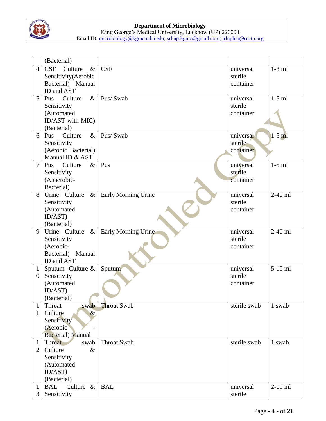

|                  | (Bacterial)                               |                     |                      |           |
|------------------|-------------------------------------------|---------------------|----------------------|-----------|
| $\overline{4}$   | <b>CSF</b><br>Culture<br>$\&$             | <b>CSF</b>          | universal            | $1-3$ ml  |
|                  | Sensitivity(Aerobic                       |                     | sterile              |           |
|                  | Bacterial) Manual                         |                     | container            |           |
|                  | ID and AST                                |                     |                      |           |
| 5                | $\&$<br>Culture<br>Pus                    | Pus/Swab            | universal            | $1-5$ ml  |
|                  | Sensitivity                               |                     | sterile              |           |
|                  | (Automated                                |                     | container            |           |
|                  | ID/AST with MIC)                          |                     |                      |           |
|                  | (Bacterial)                               |                     |                      |           |
| 6                | $\&$<br>Culture<br>Pus                    | Pus/Swab            | universal            | $1-5$ ml  |
|                  | Sensitivity                               |                     | sterile              |           |
|                  | (Aerobic Bacterial)                       |                     | container            |           |
|                  | Manual ID & AST                           |                     |                      |           |
| $\overline{7}$   | Pus Culture<br>$\&$                       | Pus                 | universal            | $1-5$ ml  |
|                  | Sensitivity                               |                     | sterile              |           |
|                  | (Anaerobic-                               |                     | container            |           |
|                  | Bacterial)                                |                     |                      |           |
| 8                | $\&$<br>Urine Culture                     | Early Morning Urine | universal            | $2-40$ ml |
|                  | Sensitivity                               |                     | sterile              |           |
|                  | (Automated                                |                     | container            |           |
|                  | ID/AST)                                   |                     |                      |           |
|                  | (Bacterial)                               |                     |                      |           |
| 9                | $\&$<br>Urine Culture                     | Early Morning Urine | universal            | $2-40$ ml |
|                  | Sensitivity                               |                     | sterile              |           |
|                  | (Aerobic-                                 |                     | container            |           |
|                  | Bacterial) Manual                         |                     |                      |           |
|                  | ID and AST                                |                     |                      |           |
| $\mathbf{1}$     | Sputum Culture &                          | Sputum              | universal            | $5-10$ ml |
| $\boldsymbol{0}$ | Sensitivity                               |                     | sterile              |           |
|                  | (Automated                                |                     | container            |           |
|                  | ID/AST)                                   |                     |                      |           |
|                  | (Bacterial)                               |                     |                      |           |
| 1                |                                           |                     |                      | 1 swab    |
| 1                | Throat<br>swab                            | <b>Throat Swab</b>  | sterile swab         |           |
|                  | Culture<br>$\&$                           |                     |                      |           |
|                  | Sensitivity                               |                     |                      |           |
|                  | (Aerobic)                                 |                     |                      |           |
|                  | <b>Bacterial</b> ) Manual                 |                     |                      |           |
| $\mathbf{1}$     | Throat<br>swab                            | <b>Throat Swab</b>  | sterile swab         | 1 swab    |
| 2                | Culture<br>$\&$                           |                     |                      |           |
|                  | Sensitivity                               |                     |                      |           |
|                  | (Automated                                |                     |                      |           |
|                  | ID/AST)                                   |                     |                      |           |
|                  | (Bacterial)                               |                     |                      |           |
| 1<br>3           | Culture $\&$<br><b>BAL</b><br>Sensitivity | <b>BAL</b>          | universal<br>sterile | $2-10$ ml |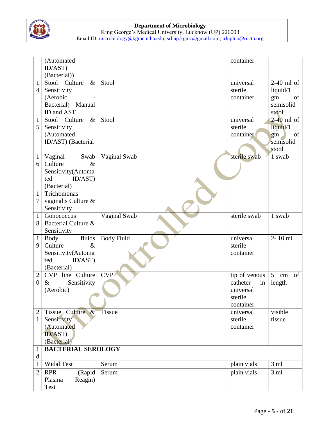

|                | (Automated                           |                   | container                   |                            |
|----------------|--------------------------------------|-------------------|-----------------------------|----------------------------|
|                | ID/AST)<br>(Bacterial))              |                   |                             |                            |
| $\mathbf{1}$   | Stool Culture<br>$\&$                | Stool             | universal                   | $2-40$ ml of               |
| 4              | Sensitivity                          |                   | sterile                     | liquid/1                   |
|                | (Aerobic                             |                   | container                   | of<br>gm                   |
|                | Bacterial) Manual                    |                   |                             | semisolid                  |
|                | ID and AST                           |                   |                             | stool                      |
| $\mathbf{1}$   | Culture<br>$\&$<br>Stool             | Stool             | universal                   | $2-40$ ml of               |
| 5              | Sensitivity                          |                   | sterile                     | liquid/1                   |
|                | (Automated                           |                   | container                   | of<br>gm                   |
|                | ID/AST) (Bacterial                   |                   |                             | semisolid                  |
|                |                                      |                   |                             | stool                      |
| $\mathbf{1}$   | Vaginal<br>Swab                      | Vaginal Swab      | sterile swab                | 1 swab                     |
| 6              | Culture<br>$\&$                      |                   |                             |                            |
|                | Sensitivity(Automa<br>ted<br>ID/AST) |                   |                             |                            |
|                | (Bacterial)                          |                   |                             |                            |
| $\mathbf{1}$   | Trichomonas                          |                   |                             |                            |
| 7              | vaginalis Culture &                  |                   |                             |                            |
|                | Sensitivity                          |                   |                             |                            |
| $\mathbf{1}$   | Gonococcus                           | Vaginal Swab      | sterile swab                | 1 swab                     |
| 8              | Bacterial Culture &                  |                   |                             |                            |
|                | Sensitivity                          |                   |                             |                            |
| $\mathbf{1}$   | fluids<br>Body                       | <b>Body Fluid</b> | universal                   | $2 - 10$ ml                |
| 9              | $\&$<br>Culture                      |                   | sterile                     |                            |
|                | Sensitivity(Automa                   |                   | container                   |                            |
|                | ted<br>ID/AST)                       |                   |                             |                            |
|                | (Bacterial)                          |                   |                             |                            |
| $\mathbf{2}$   | CVP line Culture                     | <b>CVP</b>        | tip of venous               | of<br>5 <sup>5</sup><br>cm |
| $\theta$       | Sensitivity<br>$\&$                  |                   | catheter<br>in<br>universal | length                     |
|                | (Aerobic)                            |                   | sterile                     |                            |
|                |                                      |                   | container                   |                            |
| $\overline{2}$ | Tissue Culture &                     | Tissue            | universal                   | visible                    |
| $\mathbf{1}$   | Sensitivity                          |                   | sterile                     | tissue                     |
|                | (Automated                           |                   | container                   |                            |
|                | ID/AST)                              |                   |                             |                            |
|                | (Bacterial)                          |                   |                             |                            |
| 1              | <b>BACTERIAL SEROLOGY</b>            |                   |                             |                            |
| d              |                                      |                   |                             |                            |
| $\mathbf{1}$   | Widal Test                           | Serum             | plain vials                 | 3 <sub>ml</sub>            |
| 2              | <b>RPR</b><br>(Rapid                 | Serum             | plain vials                 | 3 <sub>ml</sub>            |
|                | Reagin)<br>Plasma                    |                   |                             |                            |
|                | Test                                 |                   |                             |                            |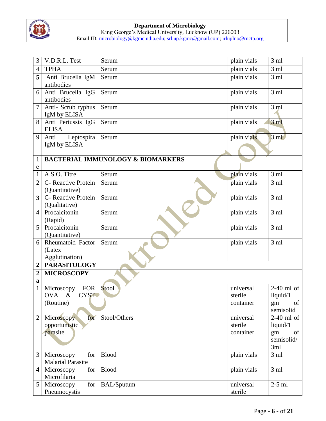

| 3                       | V.D.R.L. Test                                       | Serum                                        | plain vials                       | 3 <sub>ml</sub>                                           |
|-------------------------|-----------------------------------------------------|----------------------------------------------|-----------------------------------|-----------------------------------------------------------|
| 4                       | <b>TPHA</b>                                         | Serum                                        | plain vials                       | 3 <sub>ml</sub>                                           |
| 5                       | Anti Brucella IgM<br>antibodies                     | Serum                                        | plain vials                       | 3 <sub>ml</sub>                                           |
| 6                       | Anti Brucella IgG<br>antibodies                     | Serum                                        | plain vials                       | 3 <sub>ml</sub>                                           |
| $\overline{7}$          | Anti- Scrub typhus<br>IgM by ELISA                  | Serum                                        | plain vials                       | 3 <sub>ml</sub>                                           |
| 8                       | Anti Pertussis IgG<br><b>ELISA</b>                  | Serum                                        | plain vials                       | 3ml                                                       |
| 9                       | Leptospira<br>Anti<br>IgM by ELISA                  | Serum                                        | plain vials                       | $3 \text{ ml}$                                            |
| $\mathbf{1}$<br>e       |                                                     | <b>BACTERIAL IMMUNOLOGY &amp; BIOMARKERS</b> |                                   |                                                           |
| 1                       | A.S.O. Titre                                        | Serum                                        | plain vials                       | 3 <sub>ml</sub>                                           |
| $\overline{2}$          | C- Reactive Protein<br>(Quantitative)               | Serum                                        | plain vials                       | 3 <sub>ml</sub>                                           |
| 3                       | C- Reactive Protein<br>(Qualitative)                | Serum                                        | plain vials                       | 3 <sub>ml</sub>                                           |
| $\overline{4}$          | Procalcitonin<br>(Rapid)                            | Serum                                        | plain vials                       | 3 <sub>ml</sub>                                           |
| 5                       | Procalcitonin<br>(Quantitative)                     | Serum                                        | plain vials                       | 3ml                                                       |
| 6                       | Rheumatoid Factor<br>(Latex<br>Agglutination)       | Serum                                        | plain vials                       | 3ml                                                       |
| $\mathbf 2$             | <b>PARASITOLOGY</b>                                 |                                              |                                   |                                                           |
| 2<br>a                  | <b>MICROSCOPY</b>                                   |                                              |                                   |                                                           |
| 1                       | <b>FOR</b><br>Microscopy<br>OVA & CYST<br>(Routine) | Stool                                        | universal<br>sterile<br>container | $2-40$ ml of<br>liquid $/1$<br>of<br>gm<br>semisolid      |
| $\overline{2}$          | for<br>Microscopy<br>opportunistic<br>parasite      | Stool/Others                                 | universal<br>sterile<br>container | $2-40$ ml of<br>liquid/1<br>gm<br>of<br>semisolid/<br>3ml |
| 3                       | Microscopy<br>for<br><b>Malarial Parasite</b>       | <b>Blood</b>                                 | plain vials                       | 3 <sub>ml</sub>                                           |
| $\overline{\mathbf{4}}$ | Microscopy<br>for<br>Microfilaria                   | <b>Blood</b>                                 | plain vials                       | 3 <sub>ml</sub>                                           |
| 5                       | for<br>Microscopy<br>Pneumocystis                   | <b>BAL/Sputum</b>                            | universal<br>sterile              | $2-5$ ml                                                  |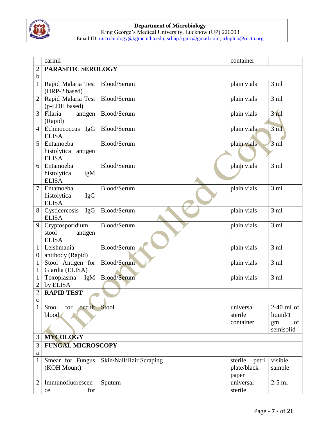

|                   | carinii                                                |                         | container                                |                                                   |
|-------------------|--------------------------------------------------------|-------------------------|------------------------------------------|---------------------------------------------------|
| $\overline{2}$    | PARASITIC SEROLOGY                                     |                         |                                          |                                                   |
| $\mathbf b$       |                                                        |                         |                                          |                                                   |
| 1                 | Rapid Malaria Test<br>(HRP-2 based)                    | Blood/Serum             | plain vials                              | 3 <sub>ml</sub>                                   |
| $\overline{2}$    | Rapid Malaria Test<br>(p-LDH based)                    | Blood/Serum             | plain vials                              | 3ml                                               |
| 3                 | Filaria<br>antigen<br>(Rapid)                          | Blood/Serum             | plain vials                              | 3ml                                               |
| $\overline{4}$    | Echinococcus IgG<br><b>ELISA</b>                       | Blood/Serum             | plain vials                              | 3 <sub>ml</sub>                                   |
| 5                 | Entamoeba<br>histolytica antigen<br><b>ELISA</b>       | Blood/Serum             | plain vials                              | $3 \text{ ml}$                                    |
| 6                 | Entamoeba<br>histolytica<br>IgM<br><b>ELISA</b>        | Blood/Serum             | plain vials                              | 3 <sub>ml</sub>                                   |
| 7                 | Entamoeba<br>histolytica<br><b>IgG</b><br><b>ELISA</b> | Blood/Serum             | plain vials                              | $3 \text{ ml}$                                    |
| 8                 | Cysticercosis<br><b>IgG</b><br><b>ELISA</b>            | Blood/Serum             | plain vials                              | 3 <sub>ml</sub>                                   |
| 9                 | Cryptosporidium<br>stool<br>antigen<br><b>ELISA</b>    | Blood/Serum             | plain vials                              | 3 ml                                              |
| 1<br>$\theta$     | Leishmania<br>antibody (Rapid)                         | Blood/Serum             | plain vials                              | 3 <sub>ml</sub>                                   |
| $\mathbf{1}$<br>1 | Stool Antigen for<br>Giardia (ELISA)                   | Blood/Serum             | plain vials                              | 3ml                                               |
| 1<br>2            | Toxoplasma<br>IgM<br>by ELISA                          | <b>Blood/Serum</b>      | plain vials                              | 3 <sub>ml</sub>                                   |
| $\overline{2}$    | <b>RAPID TEST</b>                                      |                         |                                          |                                                   |
| $\mathbf c$       |                                                        |                         |                                          |                                                   |
| $\mathbf{1}$      | occult Stool<br>for<br>Stool<br>blood                  |                         | universal<br>sterile<br>container        | $2-40$ ml of<br>liquid/1<br>of<br>gm<br>semisolid |
| 3                 | <b>MYCOLOGY</b>                                        |                         |                                          |                                                   |
| 3<br>a            | <b>FUNGAL MICROSCOPY</b>                               |                         |                                          |                                                   |
| 1                 | Smear for Fungus<br>(KOH Mount)                        | Skin/Nail/Hair Scraping | sterile<br>petri<br>plate/black<br>paper | visible<br>sample                                 |
| $\overline{2}$    | Immunofluorescen<br>for<br>ce                          | Sputum                  | universal<br>sterile                     | $2-5$ ml                                          |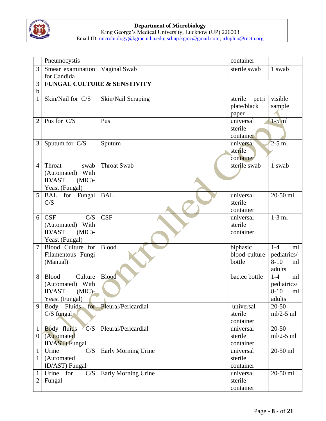

|                         | Pneumocystis                 |                             | container              |                |
|-------------------------|------------------------------|-----------------------------|------------------------|----------------|
| 3                       | Smear examination            | Vaginal Swab                | sterile swab           | 1 swab         |
|                         | for Candida                  |                             |                        |                |
| 3                       |                              | FUNGAL CULTURE & SENSTIVITY |                        |                |
| $\mathbf b$             |                              |                             |                        |                |
| 1                       | Skin/Nail for C/S            | Skin/Nail Scraping          | sterile<br>petri       | visible        |
|                         |                              |                             | plate/black            | sample         |
|                         |                              |                             | paper                  |                |
| $\overline{\mathbf{2}}$ | Pus for C/S                  | Pus                         | universal              | $1-5$ ml       |
|                         |                              |                             | sterile                |                |
|                         |                              |                             | container              |                |
| 3                       | Sputum for C/S               | Sputum                      | universal              | $2-5$ ml       |
|                         |                              |                             | sterile                |                |
|                         |                              |                             | container              |                |
| $\overline{4}$          | Throat<br>swab               | <b>Throat Swab</b>          | sterile swab           | 1 swab         |
|                         | (Automated) With             |                             |                        |                |
|                         | <b>ID/AST</b><br>$(MIC)$ -   |                             |                        |                |
|                         | Yeast (Fungal)               |                             | universal              |                |
| 5                       | BAL for Fungal<br>C/S        | <b>BAL</b>                  | sterile                | 20-50 ml       |
|                         |                              |                             | container              |                |
| 6                       | <b>CSF</b><br>C/S            | <b>CSF</b>                  | universal              | $1-3$ ml       |
|                         | (Automated) With             |                             | sterile                |                |
|                         | <b>ID/AST</b><br>$(MIC)$ -   |                             | container              |                |
|                         | Yeast (Fungal)               |                             |                        |                |
| $\overline{7}$          | Blood Culture for            | <b>Blood</b>                | biphasic               | $1-4$<br>ml    |
|                         | Filamentous Fungi            |                             | blood culture          | pediatrics/    |
|                         | (Manual)                     |                             | bottle                 | $8-10$<br>ml   |
|                         |                              |                             |                        | adults         |
| 8                       | <b>Blood</b><br>Culture      | <b>Blood</b>                | bactec bottle          | $1-4$<br>ml    |
|                         | (Automated)<br>With          |                             |                        | pediatrics/    |
|                         | <b>ID/AST</b><br>$(MIC)$ -   |                             |                        | $8 - 10$<br>ml |
|                         | Yeast (Fungal)               |                             |                        | adults         |
| 9                       | for  <br>Body Fluids         | Pleural/Pericardial         | universal              | $20 - 50$      |
|                         | $C/S$ fungal                 |                             | sterile                | $ml/2-5 ml$    |
|                         |                              |                             | container              |                |
| $\mathbf{1}$            | Body fluids<br>C/S           | Pleural/Pericardial         | universal              | $20 - 50$      |
| $\overline{0}$          | (Automated                   |                             | sterile                | $ml/2-5 ml$    |
|                         | ID/AST) Fungal               |                             | container              |                |
| $\mathbf{1}$            | Urine<br>C/S                 | Early Morning Urine         | universal              | 20-50 ml       |
| $\mathbf{1}$            | (Automated                   |                             | sterile                |                |
|                         | ID/AST) Fungal<br>for<br>C/S |                             | container<br>universal | 20-50 ml       |
| $\mathbf{1}$<br>2       | Urine                        | Early Morning Urine         | sterile                |                |
|                         | Fungal                       |                             | container              |                |
|                         |                              |                             |                        |                |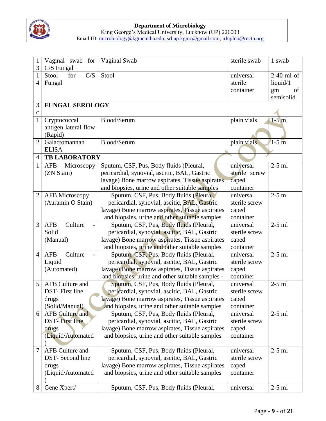

#### **Department of Microbiology** King George's Medical University, Lucknow (UP) 226003

Email ID: microbiology@kgmcindia.edu; srl.up.kgmc@gmail.com; irluplno@rnctp.org

| $\mathbf{1}$<br>3 | Vaginal swab for<br>$C/S$ Fungal | Vaginal Swab                                                                            | sterile swab           | 1 swab       |
|-------------------|----------------------------------|-----------------------------------------------------------------------------------------|------------------------|--------------|
| 1                 | Stool<br>for<br>C/S              | Stool                                                                                   | universal              | $2-40$ ml of |
| 4                 | Fungal                           |                                                                                         | sterile                | liquid/1     |
|                   |                                  |                                                                                         | container              | of<br>gm     |
|                   |                                  |                                                                                         |                        | semisolid    |
| 3<br>c            | <b>FUNGAL SEROLOGY</b>           |                                                                                         |                        |              |
| $\mathbf{1}$      | Cryptococcal                     | Blood/Serum                                                                             | plain vials            | $1-5$ ml     |
|                   | antigen lateral flow             |                                                                                         |                        |              |
|                   | (Rapid)                          |                                                                                         |                        |              |
| $\overline{2}$    | Galactomannan                    | Blood/Serum                                                                             | plain vials            | $1-5$ ml     |
|                   | <b>ELISA</b>                     |                                                                                         |                        |              |
| $\overline{4}$    | <b>TB LABORATORY</b>             |                                                                                         |                        |              |
| 1                 | AFB<br>Microscopy                | Sputum, CSF, Pus, Body fluids (Pleural,                                                 | universal              | $2-5$ ml     |
|                   | (ZN Stain)                       | pericardial, synovial, ascitic, BAL, Gastric                                            | sterile screw          |              |
|                   |                                  | lavage) Bone marrow aspirates, Tissue aspirates                                         | caped                  |              |
|                   |                                  | and biopsies, urine and other suitable samples                                          | container              |              |
| 2                 | AFB Microscopy                   | Sputum, CSF, Pus, Body fluids (Pleural,                                                 | universal              | $2-5$ ml     |
|                   | (Auramin O Stain)                | pericardial, synovial, ascitic, BAL, Gastric                                            | sterile screw          |              |
|                   |                                  | lavage) Bone marrow aspirates, Tissue aspirates                                         | caped                  |              |
| 3                 | <b>AFB</b><br>Culture            | and biopsies, urine and other suitable samples                                          | container<br>universal | $2-5$ ml     |
|                   | Solid                            | Sputum, CSF, Pus, Body fluids (Pleural,<br>pericardial, synovial, ascitic, BAL, Gastric | sterile screw          |              |
|                   | (Manual)                         | lavage) Bone marrow aspirates, Tissue aspirates                                         | caped                  |              |
|                   |                                  | and biopsies, urine and other suitable samples                                          | container              |              |
| $\overline{4}$    | Culture<br><b>AFB</b>            | Sputum, CSF, Pus, Body fluids (Pleural,                                                 | universal              | $2-5$ ml     |
|                   | Liquid                           | pericardial, synovial, ascitic, BAL, Gastric                                            | sterile screw          |              |
|                   | (Automated)                      | lavage) Bone marrow aspirates, Tissue aspirates                                         | caped                  |              |
|                   |                                  | and biopsies, urine and other suitable samples -                                        | container              |              |
| 5                 | <b>AFB Culture and</b>           | Sputum, CSF, Pus, Body fluids (Pleural,                                                 | universal              | $2-5$ ml     |
|                   | <b>DST-</b> First line           | pericardial, synovial, ascitic, BAL, Gastric                                            | sterile screw          |              |
|                   | drugs                            | lavage) Bone marrow aspirates, Tissue aspirates                                         | caped                  |              |
|                   | (Solid/Manual)                   | and biopsies, urine and other suitable samples                                          | container              |              |
| 6                 | <b>AFB Culture and</b>           | Sputum, CSF, Pus, Body fluids (Pleural,                                                 | universal              | $2-5$ ml     |
|                   | <b>DST-First line</b>            | pericardial, synovial, ascitic, BAL, Gastric                                            | sterile screw          |              |
|                   | drugs                            | lavage) Bone marrow aspirates, Tissue aspirates                                         | caped                  |              |
|                   | (Liquid/Automated                | and biopsies, urine and other suitable samples                                          | container              |              |
|                   |                                  |                                                                                         |                        |              |
| $\tau$            | <b>AFB Culture and</b>           | Sputum, CSF, Pus, Body fluids (Pleural,                                                 | universal              | $2-5$ ml     |
|                   | DST-Second line                  | pericardial, synovial, ascitic, BAL, Gastric                                            | sterile screw          |              |
|                   | drugs                            | lavage) Bone marrow aspirates, Tissue aspirates                                         | caped                  |              |
|                   | (Liquid/Automated                | and biopsies, urine and other suitable samples                                          | container              |              |
| 8                 | Gene Xpert/                      | Sputum, CSF, Pus, Body fluids (Pleural,                                                 | universal              | $2-5$ ml     |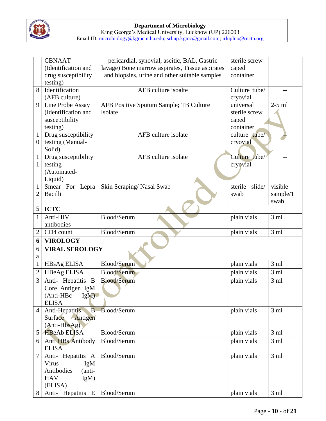

|                  | <b>CBNAAT</b>              | pericardial, synovial, ascitic, BAL, Gastric    | sterile screw     |                 |
|------------------|----------------------------|-------------------------------------------------|-------------------|-----------------|
|                  | (Identification and        | lavage) Bone marrow aspirates, Tissue aspirates | caped             |                 |
|                  | drug susceptibility        | and biopsies, urine and other suitable samples  | container         |                 |
|                  | testing)                   |                                                 |                   |                 |
| 8                | Identification             | AFB culture isoalte                             | Culture tube/     |                 |
|                  | (AFB culture)              |                                                 | cryovial          |                 |
| 9                | Line Probe Assay           | AFB Positive Sputum Sample; TB Culture          | universal         | $2-5$ ml        |
|                  | (Identification and        | Isolate                                         | sterile screw     |                 |
|                  | susceptibility             |                                                 | caped             |                 |
|                  | testing)                   |                                                 | container         |                 |
| $\mathbf{1}$     | Drug susceptibility        | AFB culture isolate                             | culture tube/     |                 |
| $\overline{0}$   | testing (Manual-           |                                                 | cryovial          |                 |
|                  | Solid)                     |                                                 |                   |                 |
| $\mathbf{1}$     | Drug susceptibility        | AFB culture isolate                             | Culture tube/     |                 |
| 1                | testing                    |                                                 | cryovial          |                 |
|                  | (Automated-                |                                                 |                   |                 |
|                  | Liquid)                    | Skin Scraping/Nasal Swab                        | sterile<br>slide/ | visible         |
| 1<br>2           | Smear For Lepra<br>Bacilli |                                                 | swab              | sample/1        |
|                  |                            |                                                 |                   | swab            |
| 5                | <b>ICTC</b>                |                                                 |                   |                 |
| 1                | Anti-HIV                   | Blood/Serum                                     | plain vials       | 3 <sub>ml</sub> |
|                  | antibodies                 |                                                 |                   |                 |
| 2                | CD4 count                  | Blood/Serum                                     | plain vials       | 3ml             |
| 6                | <b>VIROLOGY</b>            |                                                 |                   |                 |
| 6                | <b>VIRAL SEROLOGY</b>      |                                                 |                   |                 |
| a                |                            |                                                 |                   |                 |
| $\mathbf{1}$     | <b>HBsAg ELISA</b>         | <b>Blood/Serum</b>                              | plain vials       | 3 ml            |
| $\overline{2}$   | <b>HBeAg ELISA</b>         | Blood/Serum                                     | plain vials       | 3 <sub>ml</sub> |
| 3                | Anti- Hepatitis B          | <b>Blood/Serum</b>                              | plain vials       | 3 <sub>ml</sub> |
|                  | Core Antigen IgM           |                                                 |                   |                 |
|                  | (Anti-HBc IgM)             |                                                 |                   |                 |
|                  | <b>ELISA</b>               |                                                 |                   |                 |
| 4                | Anti-Hepatitis<br>B        | <b>Blood/Serum</b>                              | plain vials       | 3 <sub>ml</sub> |
|                  | Surface<br>Antigen         |                                                 |                   |                 |
|                  | (Anti-HbsAg)               |                                                 |                   |                 |
| 5                | <b>HBeAb ELISA</b>         | Blood/Serum                                     | plain vials       | 3 <sub>ml</sub> |
| 6                | Anti HBs Antibody          | Blood/Serum                                     | plain vials       | 3 <sub>ml</sub> |
|                  | <b>ELISA</b>               |                                                 |                   |                 |
| $\boldsymbol{7}$ | Anti- Hepatitis A          | Blood/Serum                                     | plain vials       | 3 <sub>ml</sub> |
|                  | Virus<br>IgM               |                                                 |                   |                 |
|                  | Antibodies<br>(anti-       |                                                 |                   |                 |
|                  | <b>HAV</b><br>$IgM$ )      |                                                 |                   |                 |
|                  | (ELISA)                    |                                                 |                   |                 |
| 8                | Anti- Hepatitis E          | Blood/Serum                                     | plain vials       | 3ml             |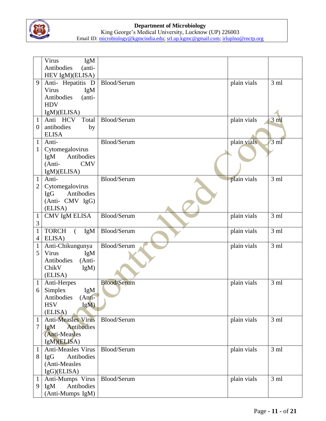

|                | Virus<br>IgM                     |                    |             |                 |
|----------------|----------------------------------|--------------------|-------------|-----------------|
|                | Antibodies<br>(anti-             |                    |             |                 |
|                | HEV IgM)(ELISA)                  |                    |             |                 |
| 9              | Anti- Hepatitis D                | Blood/Serum        | plain vials | 3 <sub>ml</sub> |
|                | Virus<br>IgM                     |                    |             |                 |
|                | Antibodies<br>(anti-             |                    |             |                 |
|                | <b>HDV</b>                       |                    |             |                 |
|                |                                  |                    |             |                 |
| $\mathbf{1}$   | IgM)(ELISA)<br>Anti HCV<br>Total | Blood/Serum        |             | $3 \text{ ml}$  |
|                |                                  |                    | plain vials |                 |
| $\theta$       | antibodies<br>by                 |                    |             |                 |
|                | <b>ELISA</b>                     |                    |             |                 |
| $\mathbf{1}$   | Anti-                            | Blood/Serum        | plain vials | $3 \text{ ml}$  |
| 1              | Cytomegalovirus                  |                    |             |                 |
|                | Antibodies<br>IgM                |                    |             |                 |
|                | <b>CMV</b><br>(Anti-             |                    |             |                 |
|                | IgM)(ELISA)                      |                    |             |                 |
| $\mathbf{1}$   | Anti-                            | Blood/Serum        | plain vials | 3 <sub>ml</sub> |
| $\overline{2}$ | Cytomegalovirus                  |                    |             |                 |
|                | Antibodies<br>IgG                |                    |             |                 |
|                | (Anti- CMV IgG)                  |                    |             |                 |
|                | (ELISA)                          |                    |             |                 |
| $\mathbf{1}$   | CMV IgM ELISA                    | Blood/Serum        | plain vials | 3 <sub>ml</sub> |
| 3              |                                  |                    |             |                 |
| $\mathbf{1}$   | <b>TORCH</b><br>$\left($<br>IgM  | Blood/Serum        | plain vials | 3 ml            |
| $\overline{4}$ | ELISA)                           |                    |             |                 |
| $\mathbf{1}$   | Anti-Chikungunya                 | Blood/Serum        | plain vials | 3 <sub>ml</sub> |
| 5              | Virus<br>IgM                     |                    |             |                 |
|                | Antibodies<br>(Anti-             |                    |             |                 |
|                | ChikV<br>IgM                     |                    |             |                 |
|                | (ELISA)                          |                    |             |                 |
| $\mathbf 1$    | Anti-Herpes                      | <b>Blood/Serum</b> | plain vials | 3 <sub>ml</sub> |
| 6              | Simplex<br>IgM                   |                    |             |                 |
|                | $(Anti-)$<br>Antibodies          |                    |             |                 |
|                | IgM)<br><b>HSV</b>               |                    |             |                 |
|                | (ELISA)                          |                    |             |                 |
| $\mathbf{1}$   | <b>Anti-Measles Virus</b>        | Blood/Serum        | plain vials | 3 <sub>ml</sub> |
| 7              | Antibodies<br>IgM                |                    |             |                 |
|                | (Anti-Measles                    |                    |             |                 |
|                | IgM)(ELISA)                      |                    |             |                 |
| $\mathbf{1}$   | <b>Anti-Measles Virus</b>        | Blood/Serum        | plain vials | 3 <sub>ml</sub> |
| 8              | <b>IgG</b><br>Antibodies         |                    |             |                 |
|                | (Anti-Measles                    |                    |             |                 |
|                |                                  |                    |             |                 |
|                | IgG)(ELISA)                      |                    |             |                 |
| $\mathbf{1}$   | Anti-Mumps Virus                 | Blood/Serum        | plain vials | 3 <sub>ml</sub> |
| 9              | Antibodies<br>IgM                |                    |             |                 |
|                | (Anti-Mumps IgM)                 |                    |             |                 |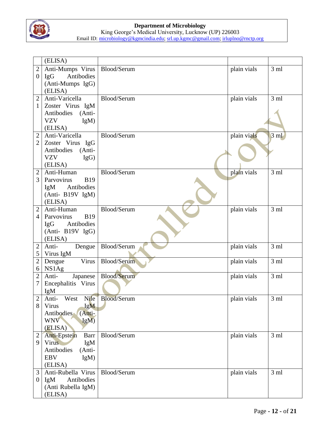

|                  | (ELISA)                  |                    |             |                 |
|------------------|--------------------------|--------------------|-------------|-----------------|
| $\overline{2}$   | Anti-Mumps Virus         | Blood/Serum        | plain vials | 3 <sub>ml</sub> |
| $\boldsymbol{0}$ | Antibodies<br>IgG        |                    |             |                 |
|                  | (Anti-Mumps IgG)         |                    |             |                 |
|                  | (ELISA)                  |                    |             |                 |
| $\overline{2}$   | Anti-Varicella           | Blood/Serum        | plain vials | 3 <sub>ml</sub> |
| 1                | Zoster Virus IgM         |                    |             |                 |
|                  | Antibodies<br>(Anti-     |                    |             |                 |
|                  | <b>VZV</b><br>IgM        |                    |             |                 |
|                  | (ELISA)                  |                    |             |                 |
| $\overline{2}$   | Anti-Varicella           | Blood/Serum        | plain vials | $3 \text{ ml}$  |
| $\overline{2}$   |                          |                    |             |                 |
|                  | Zoster Virus IgG         |                    |             |                 |
|                  | Antibodies (Anti-        |                    |             |                 |
|                  | <b>VZV</b><br>IgG)       |                    |             |                 |
|                  | (ELISA)                  |                    |             |                 |
| $\overline{2}$   | Anti-Human               | Blood/Serum        | plain vials | 3 <sub>ml</sub> |
| 3                | Parvovirus<br><b>B19</b> |                    |             |                 |
|                  | Antibodies<br>IgM        |                    |             |                 |
|                  | (Anti- B19V IgM)         |                    |             |                 |
|                  | (ELISA)                  |                    |             |                 |
| $\overline{c}$   | Anti-Human               | Blood/Serum        | plain vials | 3ml             |
| 4                | Parvovirus<br><b>B19</b> |                    |             |                 |
|                  | Antibodies<br>IgG        |                    |             |                 |
|                  | (Anti- B19V IgG)         |                    |             |                 |
|                  | (ELISA)                  |                    |             |                 |
| $\overline{2}$   | Anti-<br>Dengue          | Blood/Serum        | plain vials | 3ml             |
| 5                | Virus IgM                |                    |             |                 |
| $\overline{c}$   | Virus<br>Dengue          | Blood/Serum        | plain vials | 3ml             |
| 6                | NS1Ag                    |                    |             |                 |
| $\overline{c}$   | Anti-<br>Japanese        | Blood/Serum        | plain vials | 3 <sub>ml</sub> |
|                  | Encephalitis Virus       |                    |             |                 |
|                  | IgM                      |                    |             |                 |
| $\overline{c}$   | Nile<br>West<br>Anti-    | <b>Blood/Serum</b> | plain vials | 3 <sub>ml</sub> |
| 8                | IgM<br>Virus             |                    |             |                 |
|                  | Antibodies<br>(Anti-     |                    |             |                 |
|                  | <b>WNV</b><br>IgM        |                    |             |                 |
|                  | (ELISA)                  |                    |             |                 |
| $\overline{2}$   | Anti-Epstein<br>Barr     | Blood/Serum        | plain vials | 3 <sub>ml</sub> |
| 9                | Virus<br>IgM             |                    |             |                 |
|                  | Antibodies<br>(Anti-     |                    |             |                 |
|                  | <b>EBV</b><br>$IgM$ )    |                    |             |                 |
|                  | (ELISA)                  |                    |             |                 |
| 3                | Anti-Rubella Virus       | Blood/Serum        | plain vials | 3 <sub>ml</sub> |
| $\theta$         | IgM<br>Antibodies        |                    |             |                 |
|                  | (Anti Rubella IgM)       |                    |             |                 |
|                  | (ELISA)                  |                    |             |                 |
|                  |                          |                    |             |                 |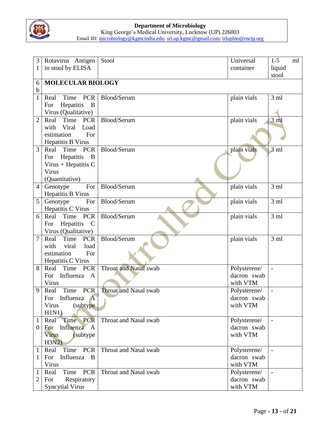

| 3                | Rotavirus Antigen                  | Stool                        | Universal    | $1 - 5$                  | ml |
|------------------|------------------------------------|------------------------------|--------------|--------------------------|----|
| 1                | in stool by ELISA                  |                              | container    | liquid                   |    |
|                  |                                    |                              |              | stool                    |    |
| 6                |                                    | <b>MOLECULAR BIOLOGY</b>     |              |                          |    |
| $\mathbf b$      |                                    |                              |              |                          |    |
| 1                | <b>PCR</b><br>Time<br>Real         | Blood/Serum                  | plain vials  | 3 <sub>ml</sub>          |    |
|                  | Hepatitis<br>$\overline{B}$<br>For |                              |              |                          |    |
|                  | Virus (Qualitative)                |                              |              |                          |    |
| $\overline{2}$   | Time<br><b>PCR</b><br>Real         | Blood/Serum                  | plain vials  | 3 <sub>m</sub>           |    |
|                  | Viral<br>with<br>Load              |                              |              |                          |    |
|                  | estimation<br>For                  |                              |              |                          |    |
|                  | Hepatitis B Virus                  |                              |              |                          |    |
| 3                | Real Time PCR                      | Blood/Serum                  | plain vials  | $3 \text{ ml}$           |    |
|                  | For Hepatitis<br>$\overline{B}$    |                              |              |                          |    |
|                  | Virus + Hepatitis $C$<br>Virus     |                              |              |                          |    |
|                  | (Quantitative)                     |                              |              |                          |    |
| $\overline{4}$   | For<br>Genotype                    | Blood/Serum                  | plain vials  | 3 <sub>ml</sub>          |    |
|                  | Hepatitis B Virus                  |                              |              |                          |    |
| 5                | Genotype<br>For                    | Blood/Serum                  | plain vials  | 3ml                      |    |
|                  | Hepatitis C Virus                  |                              |              |                          |    |
| 6                | Real<br>Time PCR                   | Blood/Serum                  | plain vials  | 3 <sub>ml</sub>          |    |
|                  | Hepatitis<br>$\mathbf C$<br>For    |                              |              |                          |    |
|                  | Virus (Qualitative)                |                              |              |                          |    |
| $\overline{7}$   | Time PCR<br>Real                   | Blood/Serum                  | plain vials  | 3 <sub>ml</sub>          |    |
|                  | viral<br>with<br>load              |                              |              |                          |    |
|                  | estimation<br>For                  |                              |              |                          |    |
|                  | Hepatitis C Virus                  |                              |              |                          |    |
| 8                | <b>PCR</b><br>Real<br>Time         | <b>Throat and Nasal swab</b> | Polysterene/ |                          |    |
|                  | Influenza A<br>For                 |                              | dacron swab  |                          |    |
|                  | Virus                              |                              | with VTM     |                          |    |
| 9                | PCR<br>Time<br>Real                | <b>Throat and Nasal swab</b> | Polysterene/ |                          |    |
|                  | Influenza A<br>For                 |                              | dacron swab  |                          |    |
|                  | (subtype)<br>Virus<br>H1N1         |                              | with VTM     |                          |    |
| $\mathbf{1}$     | Real Time PCR                      | Throat and Nasal swab        | Polysterene/ |                          |    |
| $\boldsymbol{0}$ | Influenza A<br>For                 |                              | dacron swab  |                          |    |
|                  | Virus<br>(subtype)                 |                              | with VTM     |                          |    |
|                  | H3N2                               |                              |              |                          |    |
| $\mathbf{1}$     | Time PCR<br>Real                   | Throat and Nasal swab        | Polysterene/ | $\overline{\phantom{a}}$ |    |
| $\mathbf{1}$     | Influenza B<br>For                 |                              | dacron swab  |                          |    |
|                  | Virus                              |                              | with VTM     |                          |    |
| $\mathbf{1}$     | Time PCR<br>Real                   | Throat and Nasal swab        | Polysterene/ | $\qquad \qquad -$        |    |
| 2                | Respiratory<br>For                 |                              | dacron swab  |                          |    |
|                  | <b>Syncytial Virus</b>             |                              | with VTM     |                          |    |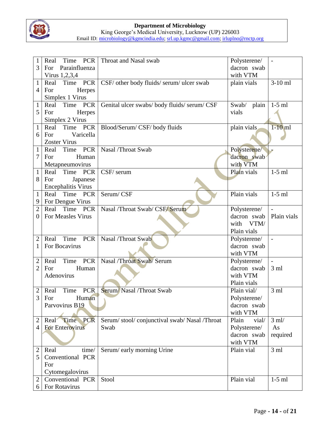

| 1              | Time PCR<br>Real                  | Throat and Nasal swab                      | Polysterene/   | $\overline{\phantom{a}}$ |
|----------------|-----------------------------------|--------------------------------------------|----------------|--------------------------|
| 3              | Parainfluenza<br>For              |                                            | dacron swab    |                          |
|                | Virus 1,2,3,4                     |                                            | with VTM       |                          |
| $\mathbf{1}$   | Time PCR<br>Real                  | CSF/ other body fluids/ serum/ ulcer swab  | plain vials    | $3-10$ ml                |
| $\overline{4}$ | Herpes<br>For                     |                                            |                |                          |
|                | Simplex 1 Virus                   |                                            |                |                          |
| $\mathbf{1}$   | Time<br><b>PCR</b><br>Real        | Genital ulcer swabs/body fluids/serum/CSF  | plain<br>Swab/ | $1-5$ ml                 |
| 5              | For<br>Herpes                     |                                            | vials          |                          |
|                | Simplex 2 Virus                   |                                            |                |                          |
| $\mathbf{1}$   | Time<br><b>PCR</b><br>Real        | Blood/Serum/ CSF/ body fluids              | plain vials    | $1-10$ ml                |
| 6              | Varicella<br>For                  |                                            |                |                          |
|                | <b>Zoster Virus</b>               |                                            |                |                          |
| 1              | Time PCR<br>Real                  | Nasal /Throat Swab                         | Polysterene/   |                          |
| 7              | Human<br>For                      |                                            | dacron swab    |                          |
|                | Metapneumovirus                   |                                            | with VTM       |                          |
| $\mathbf{1}$   | Time<br><b>PCR</b><br>Real        | CSF/ serum                                 | Plain vials    | $1-5$ ml                 |
| 8              | Japanese<br>For                   |                                            |                |                          |
|                | <b>Encephalitis Virus</b>         |                                            |                |                          |
| 1              | Real<br>Time<br><b>PCR</b>        | Serum/CSF                                  | Plain vials    | $1-5$ ml                 |
| 9              | For Dengue Virus                  |                                            |                |                          |
| $\overline{c}$ | Time PCR<br>Real                  | Nasal /Throat Swab/ CSF/ Serum             | Polysterene/   |                          |
| $\overline{0}$ | For Measles Virus                 |                                            | dacron swab    | Plain vials              |
|                |                                   |                                            | with<br>VTM/   |                          |
|                |                                   |                                            | Plain vials    |                          |
| 2              | Time<br><b>PCR</b><br>Real        | Nasal /Throat Swab                         | Polysterene/   | $\overline{\phantom{a}}$ |
| 1              | For Bocavirus                     |                                            | dacron swab    |                          |
|                |                                   |                                            | with VTM       |                          |
| 2              | <b>PCR</b><br>Time<br>Real        | Nasal /Throat Swab/ Serum                  | Polysterene/   | $\overline{\phantom{a}}$ |
| 2              | Human<br>For                      |                                            | dacron swab    | 3 <sub>ml</sub>          |
|                | Adenovirus                        |                                            | with VTM       |                          |
|                |                                   |                                            | Plain vials    |                          |
| $\overline{2}$ | Time<br>PCR<br>Real               | Serum/Nasal /Throat Swab                   | Plain vial/    | 3 <sub>ml</sub>          |
| 3              | Human<br>For                      |                                            | Polysterene/   |                          |
|                | Parvovirus B19                    |                                            | dacron swab    |                          |
|                |                                   |                                            | with VTM       |                          |
| $\overline{2}$ | Real Time PCR                     | Serum/stool/conjunctival swab/Nasal/Throat | Plain<br>vial/ | $3$ ml/                  |
| $\overline{4}$ | <b>For Enterovirus</b>            | Swab                                       | Polysterene/   | As                       |
|                |                                   |                                            | dacron swab    | required                 |
|                |                                   |                                            | with VTM       |                          |
| $\overline{c}$ | Real<br>time/                     | Serum/early morning Urine                  | Plain vial     | 3 <sub>ml</sub>          |
| 5              | Conventional PCR                  |                                            |                |                          |
|                | For                               |                                            |                |                          |
|                | Cytomegalovirus                   |                                            |                |                          |
| $\overline{2}$ | Conventional PCR<br>For Rotavirus | Stool                                      | Plain vial     | $1-5$ ml                 |
| 6              |                                   |                                            |                |                          |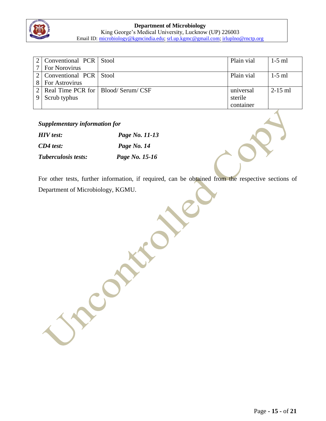

| 2   Conventional PCR   Stool            | Plain vial | $1-5$ ml  |
|-----------------------------------------|------------|-----------|
| 7   For Norovirus                       |            |           |
| 2   Conventional PCR   Stool            | Plain vial | $1-5$ ml  |
| <b>For Astrovirus</b>                   |            |           |
| 2   Real Time PCR for   Blood/Serum/CSF | universal  | $2-15$ ml |
| Scrub typhus                            | sterile    |           |
|                                         | container  |           |

#### *Supplementary information for*

| <b>HIV</b> test:    | Page No. 11-13 |
|---------------------|----------------|
| $CD4$ test:         | Page No. 14    |
| Tuberculosis tests: | Page No. 15-16 |

Constitution

For other tests, further information, if required, can be obtained from the respective sections of Department of Microbiology, KGMU.

Page **- 15 -** of **21**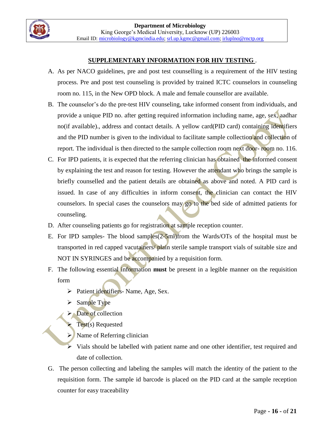

#### **SUPPLEMENTARY INFORMATION FOR HIV TESTING** .

- A. As per NACO guidelines, pre and post test counselling is a requirement of the HIV testing process. Pre and post test counseling is provided by trained ICTC counselors in counseling room no. 115, in the New OPD block. A male and female counsellor are available.
- B. The counselor's do the pre-test HIV counseling, take informed consent from individuals, and provide a unique PID no. after getting required information including name, age, sex, aadhar no(if available)., address and contact details. A yellow card(PID card) containing identifiers and the PID number is given to the individual to facilitate sample collection and collection of report. The individual is then directed to the sample collection room next door- room no. 116.
- C. For IPD patients, it is expected that the referring clinician has obtained the informed consent by explaining the test and reason for testing. However the attendant who brings the sample is briefly counselled and the patient details are obtained as above and noted. A PID card is issued. In case of any difficulties in inform consent, the clinician can contact the HIV counselors. In special cases the counselors may go to the bed side of admitted patients for counseling.
- D. After counseling patients go for registration at sample reception counter.
- E. For IPD samples- The blood samples(2-5ml)from the Wards/OTs of the hospital must be transported in red capped vacutainers/ plain sterile sample transport vials of suitable size and NOT IN SYRINGES and be accompanied by a requisition form.
- F. The following essential information **must** be present in a legible manner on the requisition form
	- $\triangleright$  Patient identifiers- Name, Age, Sex.
	- $\triangleright$  Sample Type
	- $\triangleright$  Date of collection
		- Test(s) Requested
	- $\triangleright$  Name of Referring clinician
	- Vials should be labelled with patient name and one other identifier, test required and date of collection.
- G. The person collecting and labeling the samples will match the identity of the patient to the requisition form. The sample id barcode is placed on the PID card at the sample reception counter for easy traceability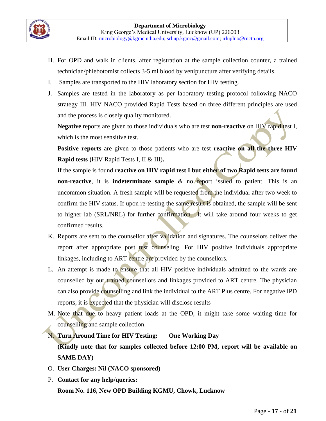- H. For OPD and walk in clients, after registration at the sample collection counter, a trained technician/phlebotomist collects 3-5 ml blood by venipuncture after verifying details.
- I. Samples are transported to the HIV laboratory section for HIV testing.
- J. Samples are tested in the laboratory as per laboratory testing protocol following NACO strategy III. HIV NACO provided Rapid Tests based on three different principles are used and the process is closely quality monitored.

**Negative** reports are given to those individuals who are test **non-reactive** on HIV rapid test I, which is the most sensitive test.

**Positive reports** are given to those patients who are test **reactive on all the three HIV Rapid tests (**HIV Rapid Tests I, II & III)**.** 

If the sample is found **reactive on HIV rapid test I but either of two Rapid tests are found non-reactive**, it is **indeterminate sample** & no report issued to patient. This is an uncommon situation. A fresh sample will be requested from the individual after two week to confirm the HIV status. If upon re-testing the same result is obtained, the sample will be sent to higher lab (SRL/NRL) for further confirmation. It will take around four weeks to get confirmed results.

- K. Reports are sent to the counsellor after validation and signatures. The counselors deliver the report after appropriate post test counseling. For HIV positive individuals appropriate linkages, including to ART centre are provided by the counsellors.
- L. An attempt is made to ensure that all HIV positive individuals admitted to the wards are counselled by our trained counsellors and linkages provided to ART centre. The physician can also provide counselling and link the individual to the ART Plus centre. For negative IPD reports, it is expected that the physician will disclose results
- M. Note that due to heavy patient loads at the OPD, it might take some waiting time for counselling and sample collection.
- N. **Turn Around Time for HIV Testing: One Working Day (Kindly note that for samples collected before 12:00 PM, report will be available on SAME DAY)**
- O. **User Charges: Nil (NACO sponsored)**
- P. **Contact for any help/queries: Room No. 116, New OPD Building KGMU, Chowk, Lucknow**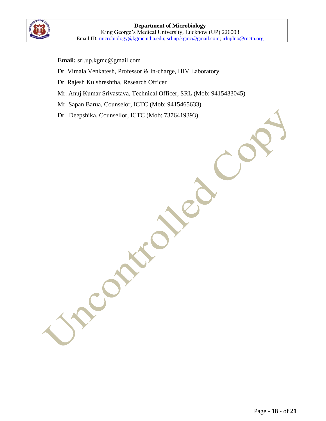- **Email:** [srl.up.kgmc@gmail.com](mailto:srl.up.kgmc@gmail.com)
- Dr. Vimala Venkatesh, Professor & In-charge, HIV Laboratory
- Dr. Rajesh Kulshreshtha, Research Officer

CON

- Mr. Anuj Kumar Srivastava, Technical Officer, SRL (Mob: 9415433045)
- Mr. Sapan Barua, Counselor, ICTC (Mob: 9415465633)
- Dr Deepshika, Counsellor, ICTC (Mob: 7376419393)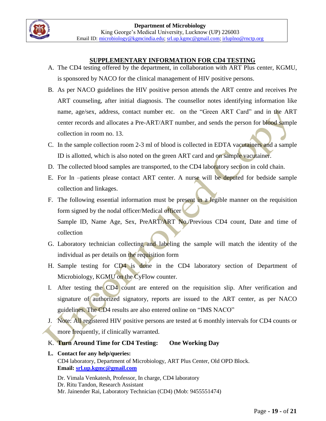### **SUPPLEMENTARY INFORMATION FOR CD4 TESTING**

- A. The CD4 testing offered by the department, in collaboration with ART Plus center, KGMU, is sponsored by NACO for the clinical management of HIV positive persons.
- B. As per NACO guidelines the HIV positive person attends the ART centre and receives Pre ART counseling, after initial diagnosis. The counsellor notes identifying information like name, age/sex, address, contact number etc. on the "Green ART Card" and in the ART center records and allocates a Pre-ART/ART number, and sends the person for blood sample collection in room no. 13.
- C. In the sample collection room 2-3 ml of blood is collected in EDTA vacutainers and a sample ID is allotted, which is also noted on the green ART card and on sample vacutainer.
- D. The collected blood samples are transported, to the CD4 laboratory section in cold chain.
- E. For In –patients please contact ART center. A nurse will be deputed for bedside sample collection and linkages.
- F. The following essential information must be present in a legible manner on the requisition form signed by the nodal officer/Medical officer Sample ID, Name Age, Sex, PreART/ART No./Previous CD4 count, Date and time of collection
- G. Laboratory technician collecting and labeling the sample will match the identity of the individual as per details on the requisition form
- H. Sample testing for CD4 is done in the CD4 laboratory section of Department of Microbiology, KGMU on the CyFlow counter.
- I. After testing the CD4 count are entered on the requisition slip. After verification and signature of authorized signatory, reports are issued to the ART center, as per NACO guidelines. The CD4 results are also entered online on "IMS NACO"
- J. Note: All registered HIV positive persons are tested at 6 monthly intervals for CD4 counts or more frequently, if clinically warranted.
- K. **Turn Around Time for CD4 Testing: One Working Day**

# **L. Contact for any help/queries:**

CD4 laboratory, Department of Microbiology, ART Plus Center, Old OPD Block. **Email: [srl.up.kgmc@gmail.com](mailto:srl.up.kgmc@gmail.com)**

Dr. Vimala Venkatesh, Professor, In charge, CD4 laboratory Dr. Ritu Tandon, Research Assistant Mr. Jainender Rai, Laboratory Technician (CD4) (Mob: 9455551474)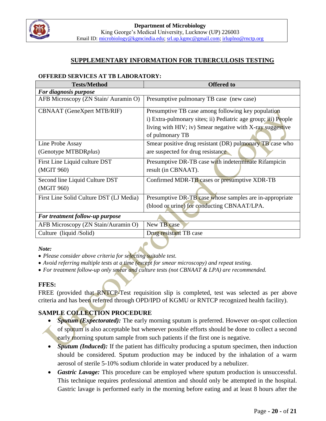

### **SUPPLEMENTARY INFORMATION FOR TUBERCULOSIS TESTING**

#### **OFFERED SERVICES AT TB LABORATORY:**

| <b>Tests/Method</b>                     | <b>Offered to</b>                                              |
|-----------------------------------------|----------------------------------------------------------------|
| For diagnosis purpose                   |                                                                |
| AFB Microscopy (ZN Stain/Auramin O)     | Presumptive pulmonary TB case (new case)                       |
| <b>CBNAAT</b> (GeneXpert MTB/RIF)       | Presumptive TB case among following key population             |
|                                         | i) Extra-pulmonary sites; ii) Pediatric age group; iii) People |
|                                         | living with HIV; iv) Smear negative with X-ray suggestive      |
|                                         | of pulmonary TB                                                |
| Line Probe Assay                        | Smear positive drug resistant (DR) pulmonary TB case who       |
| (Genotype MTBDRplus)                    | are suspected for drug resistance                              |
| First Line Liquid culture DST           | Presumptive DR-TB case with indeterminate Rifampicin           |
| (MGIT 960)                              | result (in CBNAAT).                                            |
| Second line Liquid Culture DST          | Confirmed MDR-TB cases or presumptive XDR-TB                   |
| (MGIT 960)                              |                                                                |
| First Line Solid Culture DST (LJ Media) | Presumptive DR-TB case whose samples are in-appropriate        |
|                                         | (blood or urine) for conducting CBNAAT/LPA.                    |
| For treatment follow-up purpose         |                                                                |
| AFB Microscopy (ZN Stain/Auramin O)     | New TB case                                                    |
| Culture (liquid /Solid)                 | Drug resistant TB case                                         |

#### *Note:*

- *Please consider above criteria for selecting suitable test.*
- *Avoid referring multiple tests at a time (except for smear microscopy) and repeat testing.*
- *For treatment follow-up only smear and culture tests (not CBNAAT & LPA) are recommended.*

#### **FFES:**

FREE (provided that RNTCP-Test requisition slip is completed, test was selected as per above criteria and has been referred through OPD/IPD of KGMU or RNTCP recognized health facility).

# **SAMPLE COLLECTION PROCEDURE**

- *Sputum (Expectorated):* The early morning sputum is preferred. However on-spot collection of sputum is also acceptable but whenever possible efforts should be done to collect a second early morning sputum sample from such patients if the first one is negative.
- *Sputum (Induced):* If the patient has difficulty producing a sputum specimen, then induction should be considered. Sputum production may be induced by the inhalation of a warm aerosol of sterile 5-10% sodium chloride in water produced by a nebulizer.
- *Gastric Lavage:* This procedure can be employed where sputum production is unsuccessful. This technique requires professional attention and should only be attempted in the hospital. Gastric lavage is performed early in the morning before eating and at least 8 hours after the